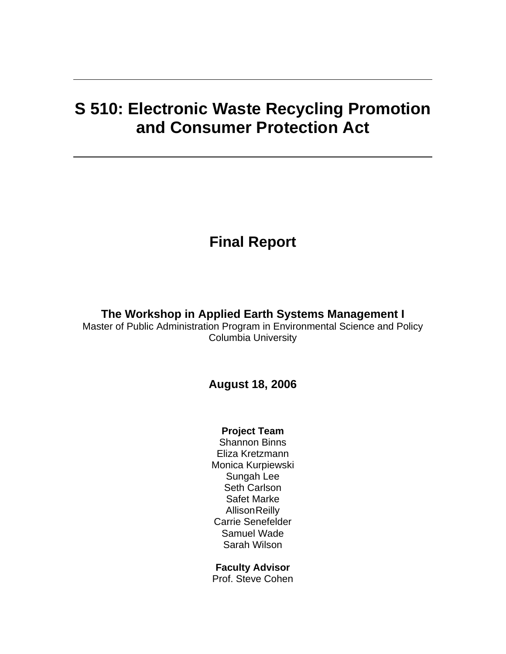# **S 510: Electronic Waste Recycling Promotion and Consumer Protection Act**

# **Final Report**

# **The Workshop in Applied Earth Systems Management I**

Master of Public Administration Program in Environmental Science and Policy Columbia University

# **August 18, 2006**

# **Project Team**

Shannon Binns Eliza Kretzmann Monica Kurpiewski Sungah Lee Seth Carlson Safet Marke **Allison Reilly** Carrie Senefelder Samuel Wade Sarah Wilson

# **Faculty Advisor**

Prof. Steve Cohen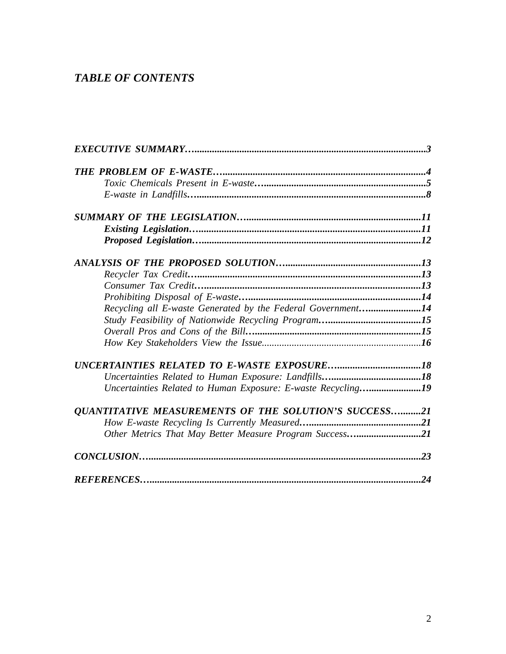# *TABLE OF CONTENTS*

| Recycling all E-waste Generated by the Federal Government14  |    |
|--------------------------------------------------------------|----|
|                                                              |    |
|                                                              |    |
|                                                              |    |
|                                                              |    |
|                                                              |    |
| Uncertainties Related to Human Exposure: E-waste Recycling19 |    |
| <b>OUANTITATIVE MEASUREMENTS OF THE SOLUTION'S SUCCESS21</b> |    |
|                                                              |    |
| Other Metrics That May Better Measure Program Success21      |    |
|                                                              |    |
|                                                              | 24 |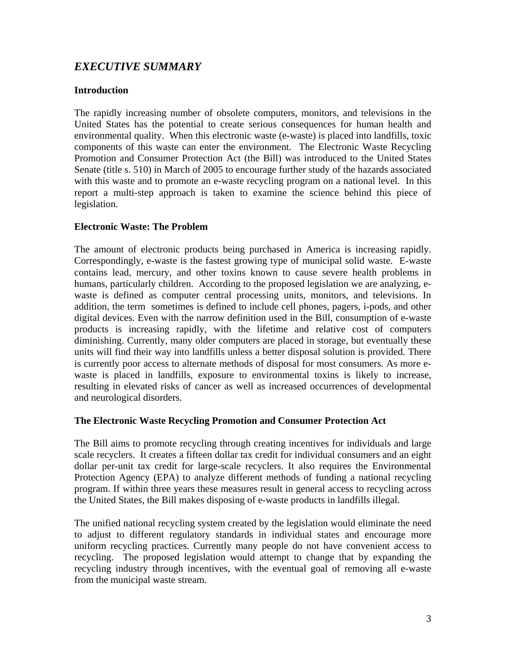# *EXECUTIVE SUMMARY*

### **Introduction**

The rapidly increasing number of obsolete computers, monitors, and televisions in the United States has the potential to create serious consequences for human health and environmental quality. When this electronic waste (e-waste) is placed into landfills, toxic components of this waste can enter the environment. The Electronic Waste Recycling Promotion and Consumer Protection Act (the Bill) was introduced to the United States Senate (title s. 510) in March of 2005 to encourage further study of the hazards associated with this waste and to promote an e-waste recycling program on a national level. In this report a multi-step approach is taken to examine the science behind this piece of legislation.

# **Electronic Waste: The Problem**

The amount of electronic products being purchased in America is increasing rapidly. Correspondingly, e-waste is the fastest growing type of municipal solid waste. E-waste contains lead, mercury, and other toxins known to cause severe health problems in humans, particularly children. According to the proposed legislation we are analyzing, ewaste is defined as computer central processing units, monitors, and televisions. In addition, the term sometimes is defined to include cell phones, pagers, i-pods, and other digital devices. Even with the narrow definition used in the Bill, consumption of e-waste products is increasing rapidly, with the lifetime and relative cost of computers diminishing. Currently, many older computers are placed in storage, but eventually these units will find their way into landfills unless a better disposal solution is provided. There is currently poor access to alternate methods of disposal for most consumers. As more ewaste is placed in landfills, exposure to environmental toxins is likely to increase, resulting in elevated risks of cancer as well as increased occurrences of developmental and neurological disorders.

### **The Electronic Waste Recycling Promotion and Consumer Protection Act**

The Bill aims to promote recycling through creating incentives for individuals and large scale recyclers. It creates a fifteen dollar tax credit for individual consumers and an eight dollar per-unit tax credit for large-scale recyclers. It also requires the Environmental Protection Agency (EPA) to analyze different methods of funding a national recycling program. If within three years these measures result in general access to recycling across the United States, the Bill makes disposing of e-waste products in landfills illegal.

The unified national recycling system created by the legislation would eliminate the need to adjust to different regulatory standards in individual states and encourage more uniform recycling practices. Currently many people do not have convenient access to recycling. The proposed legislation would attempt to change that by expanding the recycling industry through incentives, with the eventual goal of removing all e-waste from the municipal waste stream.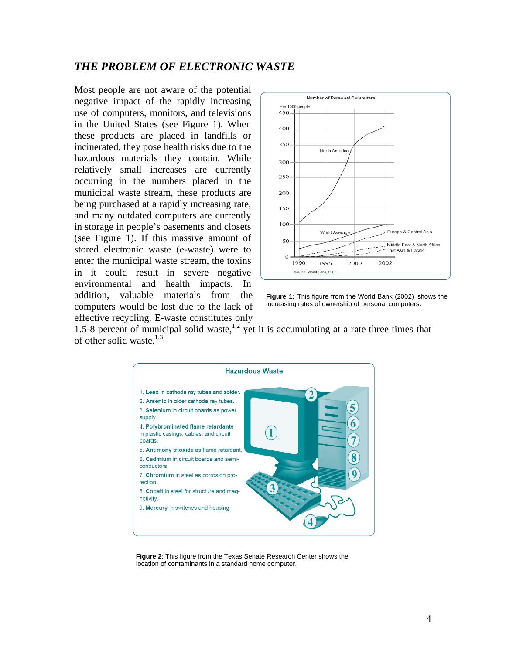# *THE PROBLEM OF ELECTRONIC WASTE*

Most people are not aware of the potential negative impact of the rapidly increasing use of computers, monitors, and televisions in the United States (see Figure 1). When these products are placed in landfills or incinerated, they pose health risks due to the hazardous materials they contain. While relatively small increases are currently occurring in the numbers placed in the municipal waste stream, these products are being purchased at a rapidly increasing rate, and many outdated computers are currently in storage in people's basements and closets (see Figure 1). If this massive amount of stored electronic waste (e-waste) were to enter the municipal waste stream, the toxins in it could result in severe negative environmental and health impacts. In addition, valuable materials from the computers would be lost due to the lack of effective recycling. E-waste constitutes only



**Figure 1:** This figure from the World Bank (2002) shows the increasing rates of ownership of personal computers.

1.5-8 percent of municipal solid waste, $1.2$  yet it is accumulating at a rate three times that of other solid waste $^{1,3}$ 



**Figure 2**: This figure from the Texas Senate Research Center shows the location of contaminants in a standard home computer.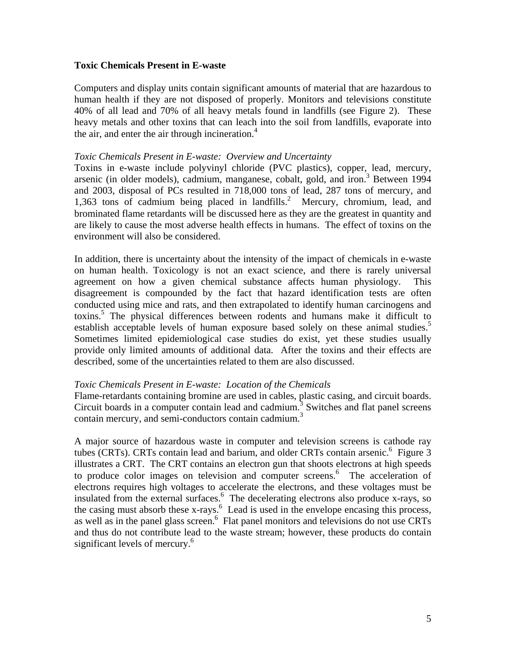### **Toxic Chemicals Present in E-waste**

Computers and display units contain significant amounts of material that are hazardous to human health if they are not disposed of properly. Monitors and televisions constitute 40% of all lead and 70% of all heavy metals found in landfills (see Figure 2).These heavy metals and other toxins that can leach into the soil from landfills, evaporate into the air, and enter the air through incineration. $4$ 

#### *Toxic Chemicals Present in E-waste: Overview and Uncertainty*

Toxins in e-waste include polyvinyl chloride (PVC plastics), copper, lead, mercury, arsenic (in older models), cadmium, manganese, cobalt, gold, and iron.<sup>3</sup> Between 1994 and 2003, disposal of PCs resulted in 718,000 tons of lead, 287 tons of mercury, and 1,363 tons of cadmium being placed in landfills.<sup>2</sup> Mercury, chromium, lead, and brominated flame retardants will be discussed here as they are the greatest in quantity and are likely to cause the most adverse health effects in humans. The effect of toxins on the environment will also be considered.

In addition, there is uncertainty about the intensity of the impact of chemicals in e-waste on human health. Toxicology is not an exact science, and there is rarely universal agreement on how a given chemical substance affects human physiology. This disagreement is compounded by the fact that hazard identification tests are often conducted using mice and rats, and then extrapolated to identify human carcinogens and toxins.<sup>5</sup> The physical differences between rodents and humans make it difficult to establish acceptable levels of human exposure based solely on these animal studies.<sup>5</sup> Sometimes limited epidemiological case studies do exist, yet these studies usually provide only limited amounts of additional data. After the toxins and their effects are described, some of the uncertainties related to them are also discussed.

### *Toxic Chemicals Present in E-waste: Location of the Chemicals*

Flame-retardants containing bromine are used in cables, plastic casing, and circuit boards. Circuit boards in a computer contain lead and cadmium. 3 Switches and flat panel screens contain mercury, and semi-conductors contain cadmium.<sup>3</sup>

A major source of hazardous waste in computer and television screens is cathode ray tubes (CRTs). CRTs contain lead and barium, and older CRTs contain arsenic.<sup>6</sup> Figure 3 illustrates a CRT. The CRT contains an electron gun that shoots electrons at high speeds to produce color images on television and computer screens.<sup>6</sup> The acceleration of electrons requires high voltages to accelerate the electrons, and these voltages must be insulated from the external surfaces.<sup>6</sup> The decelerating electrons also produce x-rays, so the casing must absorb these  $x$ -rays.<sup>6</sup> Lead is used in the envelope encasing this process, as well as in the panel glass screen.<sup>6</sup> Flat panel monitors and televisions do not use CRTs and thus do not contribute lead to the waste stream; however, these products do contain significant levels of mercury.<sup>6</sup>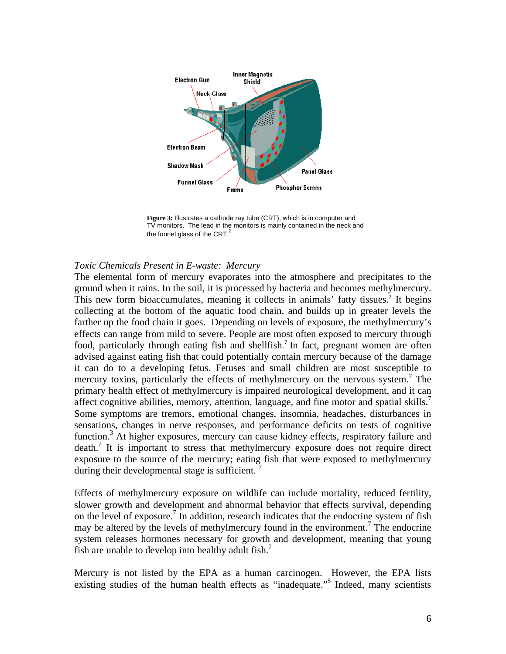

**Figure 3:** Illustrates a cathode ray tube (CRT), which is in computer and TV monitors. The lead in the monitors is mainly contained in the neck and the funnel glass of the CRT.<sup>2</sup>

#### *Toxic Chemicals Present in E-waste: Mercury*

The elemental form of mercury evaporates into the atmosphere and precipitates to the ground when it rains. In the soil, it is processed by bacteria and becomes methylmercury. This new form bioaccumulates, meaning it collects in animals' fatty tissues.<sup>7</sup> It begins collecting at the bottom of the aquatic food chain, and builds up in greater levels the farther up the food chain it goes. Depending on levels of exposure, the methylmercury's effects can range from mild to severe. People are most often exposed to mercury through food, particularly through eating fish and shellfish.<sup>7</sup> In fact, pregnant women are often advised against eating fish that could potentially contain mercury because of the damage it can do to a developing fetus. Fetuses and small children are most susceptible to mercury toxins, particularly the effects of methylmercury on the nervous system.<sup>7</sup> The primary health effect of methylmercury is impaired neurological development, and it can affect cognitive abilities, memory, attention, language, and fine motor and spatial skills.<sup>7</sup> Some symptoms are tremors, emotional changes, insomnia, headaches, disturbances in sensations, changes in nerve responses, and performance deficits on tests of cognitive function.<sup>3</sup> At higher exposures, mercury can cause kidney effects, respiratory failure and death.7 It is important to stress that methylmercury exposure does not require direct exposure to the source of the mercury; eating fish that were exposed to methylmercury during their developmental stage is sufficient.

Effects of methylmercury exposure on wildlife can include mortality, reduced fertility, slower growth and development and abnormal behavior that effects survival, depending on the level of exposure.<sup>7</sup> In addition, research indicates that the endocrine system of fish may be altered by the levels of methylmercury found in the environment.<sup>7</sup> The endocrine system releases hormones necessary for growth and development, meaning that young fish are unable to develop into healthy adult fish.<sup>7</sup>

Mercury is not listed by the EPA as a human carcinogen. However, the EPA lists existing studies of the human health effects as "inadequate."<sup>5</sup> Indeed, many scientists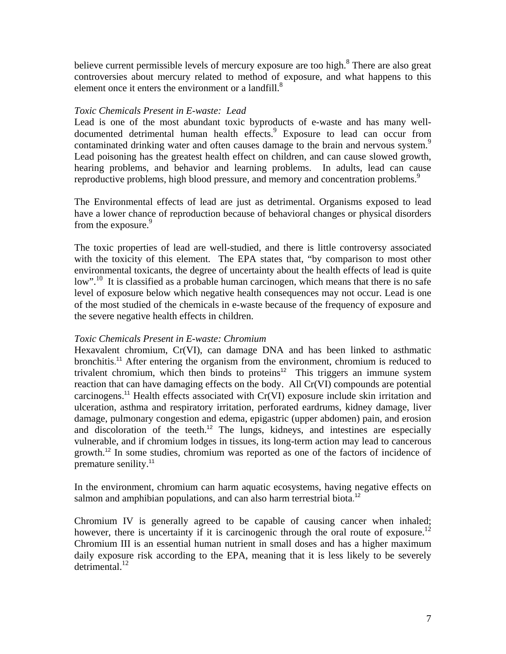believe current permissible levels of mercury exposure are too high.<sup>8</sup> There are also great controversies about mercury related to method of exposure, and what happens to this element once it enters the environment or a landfill. $\delta$ 

### *Toxic Chemicals Present in E-waste: Lead*

Lead is one of the most abundant toxic byproducts of e-waste and has many welldocumented detrimental human health effects.<sup>9</sup> Exposure to lead can occur from contaminated drinking water and often causes damage to the brain and nervous system.<sup>9</sup> Lead poisoning has the greatest health effect on children, and can cause slowed growth, hearing problems, and behavior and learning problems. In adults, lead can cause reproductive problems, high blood pressure, and memory and concentration problems.<sup>9</sup>

The Environmental effects of lead are just as detrimental. Organisms exposed to lead have a lower chance of reproduction because of behavioral changes or physical disorders from the exposure.<sup>9</sup>

The toxic properties of lead are well-studied, and there is little controversy associated with the toxicity of this element. The EPA states that, "by comparison to most other environmental toxicants, the degree of uncertainty about the health effects of lead is quite low".<sup>10</sup> It is classified as a probable human carcinogen, which means that there is no safe level of exposure below which negative health consequences may not occur. Lead is one of the most studied of the chemicals in e-waste because of the frequency of exposure and the severe negative health effects in children.

### *Toxic Chemicals Present in E-waste: Chromium*

Hexavalent chromium, Cr(VI), can damage DNA and has been linked to asthmatic bronchitis.<sup>11</sup> After entering the organism from the environment, chromium is reduced to trivalent chromium, which then binds to proteins<sup>12</sup> This triggers an immune system reaction that can have damaging effects on the body. All Cr(VI) compounds are potential carcinogens.<sup>11</sup> Health effects associated with Cr(VI) exposure include skin irritation and ulceration, asthma and respiratory irritation, perforated eardrums, kidney damage, liver damage, pulmonary congestion and edema, epigastric (upper abdomen) pain, and erosion and discoloration of the teeth.<sup>12</sup> The lungs, kidneys, and intestines are especially vulnerable, and if chromium lodges in tissues, its long-term action may lead to cancerous growth.<sup>12</sup> In some studies, chromium was reported as one of the factors of incidence of premature senility.<sup>11</sup>

In the environment, chromium can harm aquatic ecosystems, having negative effects on salmon and amphibian populations, and can also harm terrestrial biota.<sup>12</sup>

Chromium IV is generally agreed to be capable of causing cancer when inhaled; however, there is uncertainty if it is carcinogenic through the oral route of exposure.<sup>12</sup> Chromium III is an essential human nutrient in small doses and has a higher maximum daily exposure risk according to the EPA, meaning that it is less likely to be severely  $d$ etrimental.<sup>12</sup>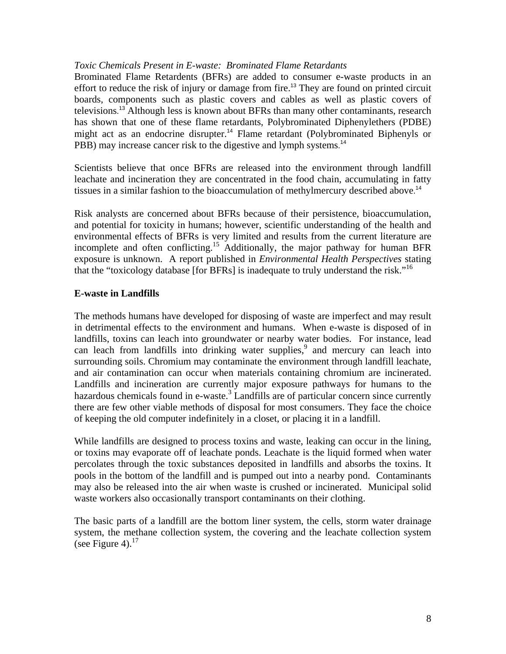### *Toxic Chemicals Present in E-waste: Brominated Flame Retardants*

Brominated Flame Retardents (BFRs) are added to consumer e-waste products in an effort to reduce the risk of injury or damage from fire.<sup>13</sup> They are found on printed circuit boards, components such as plastic covers and cables as well as plastic covers of televisions.<sup>13</sup> Although less is known about BFRs than many other contaminants, research has shown that one of these flame retardants, Polybrominated Diphenylethers (PDBE) might act as an endocrine disrupter.<sup>14</sup> Flame retardant (Polybrominated Biphenyls or PBB) may increase cancer risk to the digestive and lymph systems.<sup>14</sup>

Scientists believe that once BFRs are released into the environment through landfill leachate and incineration they are concentrated in the food chain, accumulating in fatty tissues in a similar fashion to the bioaccumulation of methylmercury described above. 14

Risk analysts are concerned about BFRs because of their persistence, bioaccumulation, and potential for toxicity in humans; however, scientific understanding of the health and environmental effects of BFRs is very limited and results from the current literature are incomplete and often conflicting.<sup>15</sup> Additionally, the major pathway for human BFR exposure is unknown. A report published in *Environmental Health Perspectives* stating that the "toxicology database [for BFRs] is inadequate to truly understand the risk."<sup>16</sup>

# **E-waste in Landfills**

The methods humans have developed for disposing of waste are imperfect and may result in detrimental effects to the environment and humans. When e-waste is disposed of in landfills, toxins can leach into groundwater or nearby water bodies. For instance, lead can leach from landfills into drinking water supplies,<sup>9</sup> and mercury can leach into surrounding soils. Chromium may contaminate the environment through landfill leachate, and air contamination can occur when materials containing chromium are incinerated. Landfills and incineration are currently major exposure pathways for humans to the hazardous chemicals found in e-waste.<sup>3</sup> Landfills are of particular concern since currently there are few other viable methods of disposal for most consumers. They face the choice of keeping the old computer indefinitely in a closet, or placing it in a landfill.

While landfills are designed to process toxins and waste, leaking can occur in the lining, or toxins may evaporate off of leachate ponds. Leachate is the liquid formed when water percolates through the toxic substances deposited in landfills and absorbs the toxins. It pools in the bottom of the landfill and is pumped out into a nearby pond. Contaminants may also be released into the air when waste is crushed or incinerated. Municipal solid waste workers also occasionally transport contaminants on their clothing.

The basic parts of a landfill are the bottom liner system, the cells, storm water drainage system, the methane collection system, the covering and the leachate collection system (see Figure 4). $^{17}$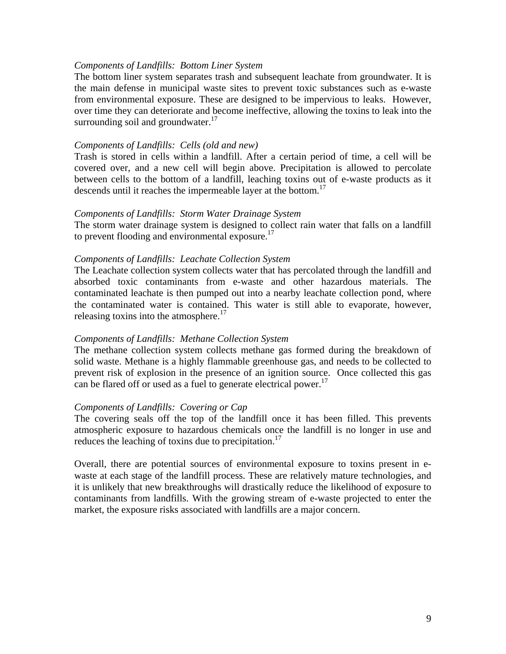#### *Components of Landfills: Bottom Liner System*

The bottom liner system separates trash and subsequent leachate from groundwater. It is the main defense in municipal waste sites to prevent toxic substances such as e-waste from environmental exposure. These are designed to be impervious to leaks. However, over time they can deteriorate and become ineffective, allowing the toxins to leak into the surrounding soil and groundwater.<sup>17</sup>

#### *Components of Landfills: Cells (old and new)*

Trash is stored in cells within a landfill. After a certain period of time, a cell will be covered over, and a new cell will begin above. Precipitation is allowed to percolate between cells to the bottom of a landfill, leaching toxins out of e-waste products as it descends until it reaches the impermeable layer at the bottom.<sup>17</sup>

#### *Components of Landfills: Storm Water Drainage System*

The storm water drainage system is designed to collect rain water that falls on a landfill to prevent flooding and environmental exposure.<sup>17</sup>

#### *Components of Landfills: Leachate Collection System*

The Leachate collection system collects water that has percolated through the landfill and absorbed toxic contaminants from e-waste and other hazardous materials. The contaminated leachate is then pumped out into a nearby leachate collection pond, where the contaminated water is contained. This water is still able to evaporate, however, releasing toxins into the atmosphere. $17$ 

### *Components of Landfills: Methane Collection System*

The methane collection system collects methane gas formed during the breakdown of solid waste. Methane is a highly flammable greenhouse gas, and needs to be collected to prevent risk of explosion in the presence of an ignition source. Once collected this gas can be flared off or used as a fuel to generate electrical power.<sup>17</sup>

#### *Components of Landfills: Covering or Cap*

The covering seals off the top of the landfill once it has been filled. This prevents atmospheric exposure to hazardous chemicals once the landfill is no longer in use and reduces the leaching of toxins due to precipitation.<sup>17</sup>

Overall, there are potential sources of environmental exposure to toxins present in ewaste at each stage of the landfill process. These are relatively mature technologies, and it is unlikely that new breakthroughs will drastically reduce the likelihood of exposure to contaminants from landfills. With the growing stream of e-waste projected to enter the market, the exposure risks associated with landfills are a major concern.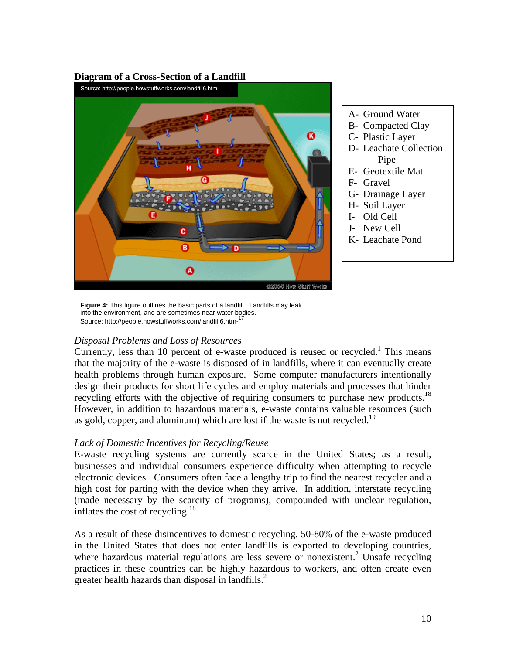#### **Diagram of a Cross-Section of a Landfill**



- A- Ground Water
- B- Compacted Clay
- C- Plastic Layer
- D- Leachate Collection Pipe
- E- Geotextile Mat
- F- Gravel
- G- Drainage Layer
- H- Soil Layer
- I- Old Cell
- J- New Cell
- K- Leachate Pond

**Figure 4:** This figure outlines the basic parts of a landfill. Landfills may leak into the environment, and are sometimes near water bodies. Source: http://people.howstuffworks.com/landfill6.htm-

### *Disposal Problems and Loss of Resources*

Currently, less than 10 percent of e-waste produced is reused or recycled.<sup>1</sup> This means that the majority of the e-waste is disposed of in landfills, where it can eventually create health problems through human exposure. Some computer manufacturers intentionally design their products for short life cycles and employ materials and processes that hinder recycling efforts with the objective of requiring consumers to purchase new products.<sup>18</sup> However, in addition to hazardous materials, e-waste contains valuable resources (such as gold, copper, and aluminum) which are lost if the waste is not recycled.<sup>19</sup>

### *Lack of Domestic Incentives for Recycling/Reuse*

E-waste recycling systems are currently scarce in the United States; as a result, businesses and individual consumers experience difficulty when attempting to recycle electronic devices. Consumers often face a lengthy trip to find the nearest recycler and a high cost for parting with the device when they arrive. In addition, interstate recycling (made necessary by the scarcity of programs), compounded with unclear regulation, inflates the cost of recycling.<sup>18</sup>

As a result of these disincentives to domestic recycling, 50-80% of the e-waste produced in the United States that does not enter landfills is exported to developing countries, where hazardous material regulations are less severe or nonexistent.<sup>2</sup> Unsafe recycling practices in these countries can be highly hazardous to workers, and often create even greater health hazards than disposal in landfills. $<sup>2</sup>$ </sup>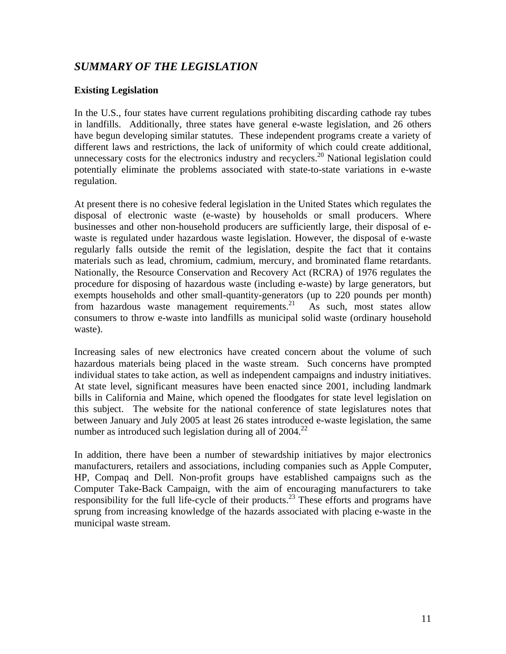# *SUMMARY OF THE LEGISLATION*

# **Existing Legislation**

In the U.S., four states have current regulations prohibiting discarding cathode ray tubes in landfills. Additionally, three states have general e-waste legislation, and 26 others have begun developing similar statutes. These independent programs create a variety of different laws and restrictions, the lack of uniformity of which could create additional, unnecessary costs for the electronics industry and recyclers.<sup>20</sup> National legislation could potentially eliminate the problems associated with state-to-state variations in e-waste regulation.

At present there is no cohesive federal legislation in the United States which regulates the disposal of electronic waste (e-waste) by households or small producers. Where businesses and other non-household producers are sufficiently large, their disposal of ewaste is regulated under hazardous waste legislation. However, the disposal of e-waste regularly falls outside the remit of the legislation, despite the fact that it contains materials such as lead, chromium, cadmium, mercury, and brominated flame retardants. Nationally, the Resource Conservation and Recovery Act (RCRA) of 1976 regulates the procedure for disposing of hazardous waste (including e-waste) by large generators, but exempts households and other small-quantity-generators (up to 220 pounds per month) from hazardous waste management requirements.<sup>21</sup> As such, most states allow consumers to throw e-waste into landfills as municipal solid waste (ordinary household waste).

Increasing sales of new electronics have created concern about the volume of such hazardous materials being placed in the waste stream. Such concerns have prompted individual states to take action, as well as independent campaigns and industry initiatives. At state level, significant measures have been enacted since 2001, including landmark bills in California and Maine, which opened the floodgates for state level legislation on this subject. The website for the national conference of state legislatures notes that between January and July 2005 at least 26 states introduced e-waste legislation, the same number as introduced such legislation during all of  $2004.<sup>22</sup>$ 

In addition, there have been a number of stewardship initiatives by major electronics manufacturers, retailers and associations, including companies such as Apple Computer, HP, Compaq and Dell. Non-profit groups have established campaigns such as the Computer Take-Back Campaign, with the aim of encouraging manufacturers to take responsibility for the full life-cycle of their products.<sup>23</sup> These efforts and programs have sprung from increasing knowledge of the hazards associated with placing e-waste in the municipal waste stream.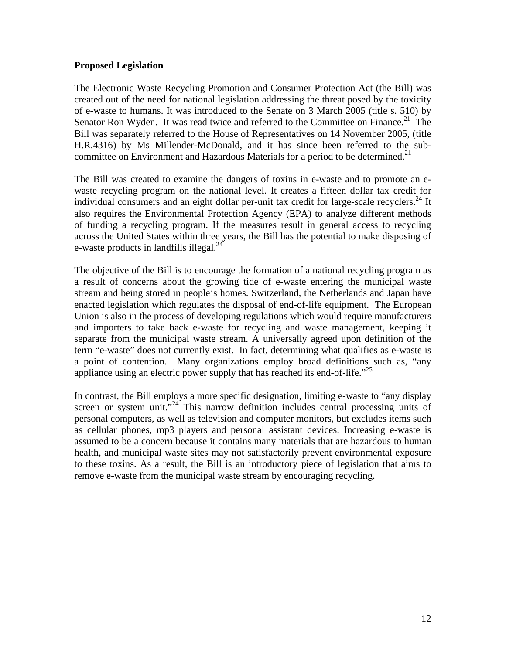### **Proposed Legislation**

The Electronic Waste Recycling Promotion and Consumer Protection Act (the Bill) was created out of the need for national legislation addressing the threat posed by the toxicity of e-waste to humans. It was introduced to the Senate on 3 March 2005 (title s. 510) by Senator Ron Wyden. It was read twice and referred to the Committee on Finance.<sup>21</sup> The Bill was separately referred to the House of Representatives on 14 November 2005, (title H.R.4316) by Ms Millender-McDonald, and it has since been referred to the subcommittee on Environment and Hazardous Materials for a period to be determined.<sup>21</sup>

The Bill was created to examine the dangers of toxins in e-waste and to promote an ewaste recycling program on the national level. It creates a fifteen dollar tax credit for individual consumers and an eight dollar per-unit tax credit for large-scale recyclers.<sup>24</sup> It also requires the Environmental Protection Agency (EPA) to analyze different methods of funding a recycling program. If the measures result in general access to recycling across the United States within three years, the Bill has the potential to make disposing of e-waste products in landfills illegal. $^{24}$ 

The objective of the Bill is to encourage the formation of a national recycling program as a result of concerns about the growing tide of e-waste entering the municipal waste stream and being stored in people's homes. Switzerland, the Netherlands and Japan have enacted legislation which regulates the disposal of end-of-life equipment. The European Union is also in the process of developing regulations which would require manufacturers and importers to take back e-waste for recycling and waste management, keeping it separate from the municipal waste stream. A universally agreed upon definition of the term "e-waste" does not currently exist. In fact, determining what qualifies as e-waste is a point of contention. Many organizations employ broad definitions such as, "any appliance using an electric power supply that has reached its end-of-life.<sup> $25$ </sup>

In contrast, the Bill employs a more specific designation, limiting e-waste to "any display screen or system unit. $1^{24}$  This narrow definition includes central processing units of personal computers, as well as television and computer monitors, but excludes items such as cellular phones, mp3 players and personal assistant devices. Increasing e-waste is assumed to be a concern because it contains many materials that are hazardous to human health, and municipal waste sites may not satisfactorily prevent environmental exposure to these toxins. As a result, the Bill is an introductory piece of legislation that aims to remove e-waste from the municipal waste stream by encouraging recycling.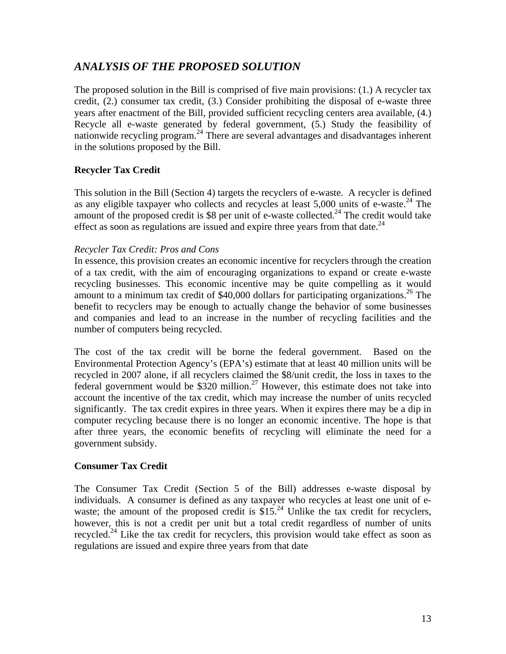# *ANALYSIS OF THE PROPOSED SOLUTION*

The proposed solution in the Bill is comprised of five main provisions: (1.) A recycler tax credit, (2.) consumer tax credit, (3.) Consider prohibiting the disposal of e-waste three years after enactment of the Bill, provided sufficient recycling centers area available, (4.) Recycle all e-waste generated by federal government, (5.) Study the feasibility of nationwide recycling program. 24 There are several advantages and disadvantages inherent in the solutions proposed by the Bill.

# **Recycler Tax Credit**

This solution in the Bill (Section 4) targets the recyclers of e-waste. A recycler is defined as any eligible taxpayer who collects and recycles at least  $5,000$  units of e-waste.<sup>24</sup> The amount of the proposed credit is \$8 per unit of e-waste collected.<sup>24</sup> The credit would take effect as soon as regulations are issued and expire three years from that date. $^{24}$ 

# *Recycler Tax Credit: Pros and Cons*

In essence, this provision creates an economic incentive for recyclers through the creation of a tax credit, with the aim of encouraging organizations to expand or create e-waste recycling businesses. This economic incentive may be quite compelling as it would amount to a minimum tax credit of  $$40,000$  dollars for participating organizations.<sup>26</sup> The benefit to recyclers may be enough to actually change the behavior of some businesses and companies and lead to an increase in the number of recycling facilities and the number of computers being recycled.

The cost of the tax credit will be borne the federal government. Based on the Environmental Protection Agency's (EPA's) estimate that at least 40 million units will be recycled in 2007 alone, if all recyclers claimed the \$8/unit credit, the loss in taxes to the federal government would be  $$320$  million.<sup>27</sup> However, this estimate does not take into account the incentive of the tax credit, which may increase the number of units recycled significantly. The tax credit expires in three years. When it expires there may be a dip in computer recycling because there is no longer an economic incentive. The hope is that after three years, the economic benefits of recycling will eliminate the need for a government subsidy.

# **Consumer Tax Credit**

The Consumer Tax Credit (Section 5 of the Bill) addresses e-waste disposal by individuals. A consumer is defined as any taxpayer who recycles at least one unit of ewaste; the amount of the proposed credit is  $$15<sup>24</sup>$  Unlike the tax credit for recyclers, however, this is not a credit per unit but a total credit regardless of number of units recycled.<sup>24</sup> Like the tax credit for recyclers, this provision would take effect as soon as regulations are issued and expire three years from that date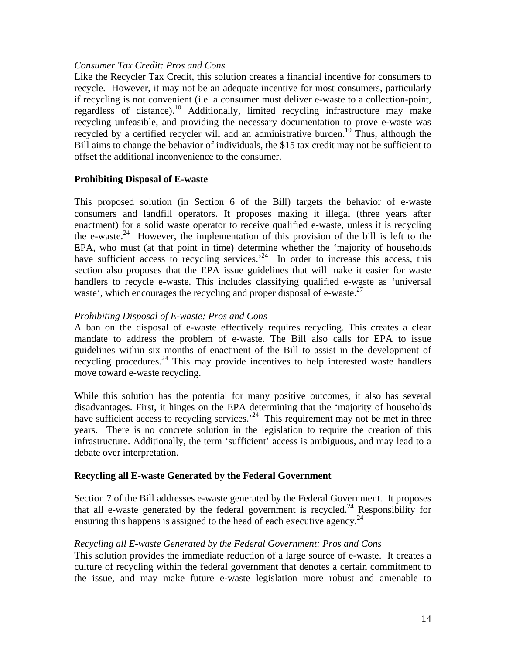### *Consumer Tax Credit: Pros and Cons*

Like the Recycler Tax Credit, this solution creates a financial incentive for consumers to recycle. However, it may not be an adequate incentive for most consumers, particularly if recycling is not convenient (i.e. a consumer must deliver e-waste to a collection-point, regardless of distance).10 Additionally, limited recycling infrastructure may make recycling unfeasible, and providing the necessary documentation to prove e-waste was recycled by a certified recycler will add an administrative burden.<sup>10</sup> Thus, although the Bill aims to change the behavior of individuals, the \$15 tax credit may not be sufficient to offset the additional inconvenience to the consumer.

### **Prohibiting Disposal of E-waste**

This proposed solution (in Section 6 of the Bill) targets the behavior of e-waste consumers and landfill operators. It proposes making it illegal (three years after enactment) for a solid waste operator to receive qualified e-waste, unless it is recycling the e-waste.<sup>24</sup> However, the implementation of this provision of the bill is left to the EPA, who must (at that point in time) determine whether the 'majority of households have sufficient access to recycling services.<sup> $24$ </sup> In order to increase this access, this section also proposes that the EPA issue guidelines that will make it easier for waste handlers to recycle e-waste. This includes classifying qualified e-waste as 'universal waste', which encourages the recycling and proper disposal of e-waste.<sup>27</sup>

### *Prohibiting Disposal of E-waste: Pros and Cons*

A ban on the disposal of e-waste effectively requires recycling. This creates a clear mandate to address the problem of e-waste. The Bill also calls for EPA to issue guidelines within six months of enactment of the Bill to assist in the development of recycling procedures.<sup>24</sup> This may provide incentives to help interested waste handlers move toward e-waste recycling.

While this solution has the potential for many positive outcomes, it also has several disadvantages. First, it hinges on the EPA determining that the 'majority of households have sufficient access to recycling services.<sup>24</sup> This requirement may not be met in three years. There is no concrete solution in the legislation to require the creation of this infrastructure. Additionally, the term 'sufficient' access is ambiguous, and may lead to a debate over interpretation.

### **Recycling all E-waste Generated by the Federal Government**

Section 7 of the Bill addresses e-waste generated by the Federal Government. It proposes that all e-waste generated by the federal government is recycled.<sup>24</sup> Responsibility for ensuring this happens is assigned to the head of each executive agency.<sup>24</sup>

### *Recycling all E-waste Generated by the Federal Government: Pros and Cons*

This solution provides the immediate reduction of a large source of e-waste. It creates a culture of recycling within the federal government that denotes a certain commitment to the issue, and may make future e-waste legislation more robust and amenable to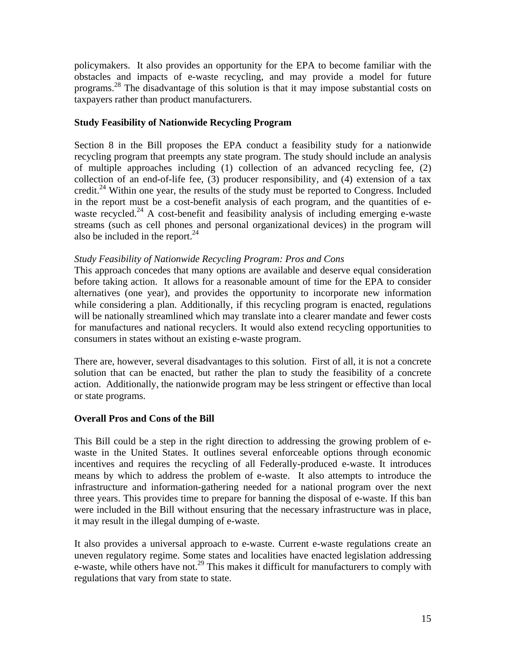policymakers. It also provides an opportunity for the EPA to become familiar with the obstacles and impacts of e-waste recycling, and may provide a model for future programs.28 The disadvantage of this solution is that it may impose substantial costs on taxpayers rather than product manufacturers.

# **Study Feasibility of Nationwide Recycling Program**

Section 8 in the Bill proposes the EPA conduct a feasibility study for a nationwide recycling program that preempts any state program. The study should include an analysis of multiple approaches including (1) collection of an advanced recycling fee, (2) collection of an end-of-life fee, (3) producer responsibility, and (4) extension of a tax credit.<sup>24</sup> Within one year, the results of the study must be reported to Congress. Included in the report must be a cost-benefit analysis of each program, and the quantities of ewaste recycled.<sup>24</sup> A cost-benefit and feasibility analysis of including emerging e-waste streams (such as cell phones and personal organizational devices) in the program will also be included in the report.<sup>24</sup>

### *Study Feasibility of Nationwide Recycling Program: Pros and Cons*

This approach concedes that many options are available and deserve equal consideration before taking action. It allows for a reasonable amount of time for the EPA to consider alternatives (one year), and provides the opportunity to incorporate new information while considering a plan. Additionally, if this recycling program is enacted, regulations will be nationally streamlined which may translate into a clearer mandate and fewer costs for manufactures and national recyclers. It would also extend recycling opportunities to consumers in states without an existing e-waste program.

There are, however, several disadvantages to this solution. First of all, it is not a concrete solution that can be enacted, but rather the plan to study the feasibility of a concrete action. Additionally, the nationwide program may be less stringent or effective than local or state programs.

# **Overall Pros and Cons of the Bill**

This Bill could be a step in the right direction to addressing the growing problem of ewaste in the United States. It outlines several enforceable options through economic incentives and requires the recycling of all Federally-produced e-waste. It introduces means by which to address the problem of e-waste. It also attempts to introduce the infrastructure and information-gathering needed for a national program over the next three years. This provides time to prepare for banning the disposal of e-waste. If this ban were included in the Bill without ensuring that the necessary infrastructure was in place, it may result in the illegal dumping of e-waste.

It also provides a universal approach to e-waste. Current e-waste regulations create an uneven regulatory regime. Some states and localities have enacted legislation addressing e-waste, while others have not.<sup>29</sup> This makes it difficult for manufacturers to comply with regulations that vary from state to state.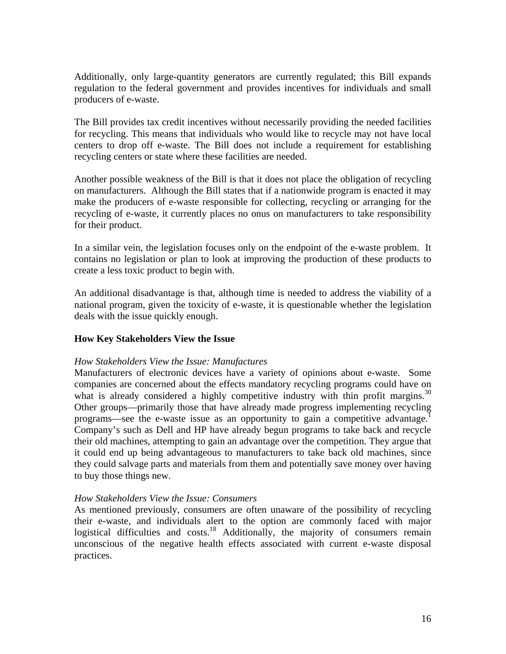Additionally, only large-quantity generators are currently regulated; this Bill expands regulation to the federal government and provides incentives for individuals and small producers of e-waste.

The Bill provides tax credit incentives without necessarily providing the needed facilities for recycling. This means that individuals who would like to recycle may not have local centers to drop off e-waste. The Bill does not include a requirement for establishing recycling centers or state where these facilities are needed.

Another possible weakness of the Bill is that it does not place the obligation of recycling on manufacturers. Although the Bill states that if a nationwide program is enacted it may make the producers of e-waste responsible for collecting, recycling or arranging for the recycling of e-waste, it currently places no onus on manufacturers to take responsibility for their product.

In a similar vein, the legislation focuses only on the endpoint of the e-waste problem. It contains no legislation or plan to look at improving the production of these products to create a less toxic product to begin with.

An additional disadvantage is that, although time is needed to address the viability of a national program, given the toxicity of e-waste, it is questionable whether the legislation deals with the issue quickly enough.

# **How Key Stakeholders View the Issue**

### *How Stakeholders View the Issue: Manufactures*

Manufacturers of electronic devices have a variety of opinions about e-waste. Some companies are concerned about the effects mandatory recycling programs could have on what is already considered a highly competitive industry with thin profit margins.<sup>30</sup> Other groups—primarily those that have already made progress implementing recycling programs—see the e-waste issue as an opportunity to gain a competitive advantage.<sup>1</sup> Company's such as Dell and HP have already begun programs to take back and recycle their old machines, attempting to gain an advantage over the competition. They argue that it could end up being advantageous to manufacturers to take back old machines, since they could salvage parts and materials from them and potentially save money over having to buy those things new.

### *How Stakeholders View the Issue: Consumers*

As mentioned previously, consumers are often unaware of the possibility of recycling their e-waste, and individuals alert to the option are commonly faced with major logistical difficulties and costs.<sup>18</sup> Additionally, the majority of consumers remain unconscious of the negative health effects associated with current e-waste disposal practices.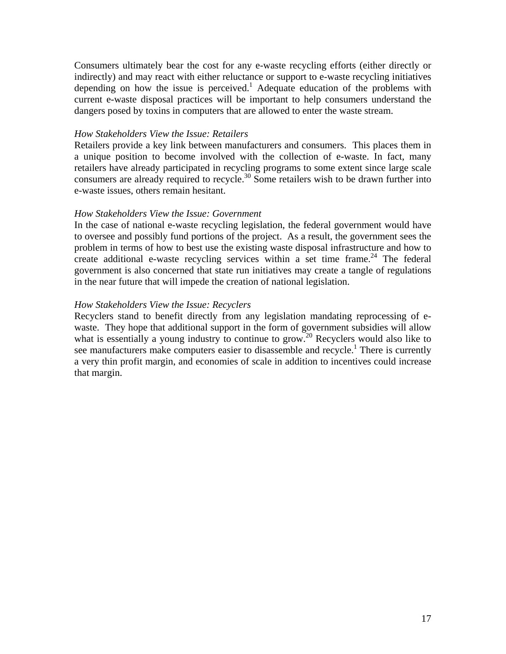Consumers ultimately bear the cost for any e-waste recycling efforts (either directly or indirectly) and may react with either reluctance or support to e-waste recycling initiatives depending on how the issue is perceived.<sup>1</sup> Adequate education of the problems with current e-waste disposal practices will be important to help consumers understand the dangers posed by toxins in computers that are allowed to enter the waste stream.

#### *How Stakeholders View the Issue: Retailers*

Retailers provide a key link between manufacturers and consumers. This places them in a unique position to become involved with the collection of e-waste. In fact, many retailers have already participated in recycling programs to some extent since large scale consumers are already required to recycle.<sup>30</sup> Some retailers wish to be drawn further into e-waste issues, others remain hesitant.

#### *How Stakeholders View the Issue: Government*

In the case of national e-waste recycling legislation, the federal government would have to oversee and possibly fund portions of the project. As a result, the government sees the problem in terms of how to best use the existing waste disposal infrastructure and how to create additional e-waste recycling services within a set time frame.<sup>24</sup> The federal government is also concerned that state run initiatives may create a tangle of regulations in the near future that will impede the creation of national legislation.

### *How Stakeholders View the Issue: Recyclers*

Recyclers stand to benefit directly from any legislation mandating reprocessing of ewaste. They hope that additional support in the form of government subsidies will allow what is essentially a young industry to continue to grow.<sup>20</sup> Recyclers would also like to see manufacturers make computers easier to disassemble and recycle.<sup>1</sup> There is currently a very thin profit margin, and economies of scale in addition to incentives could increase that margin.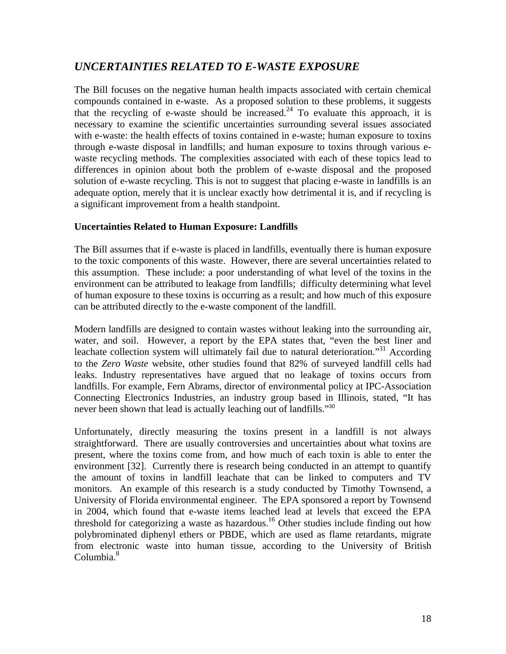# *UNCERTAINTIES RELATED TO E-WASTE EXPOSURE*

The Bill focuses on the negative human health impacts associated with certain chemical compounds contained in e-waste. As a proposed solution to these problems, it suggests that the recycling of e-waste should be increased.<sup>24</sup> To evaluate this approach, it is necessary to examine the scientific uncertainties surrounding several issues associated with e-waste: the health effects of toxins contained in e-waste; human exposure to toxins through e-waste disposal in landfills; and human exposure to toxins through various ewaste recycling methods. The complexities associated with each of these topics lead to differences in opinion about both the problem of e-waste disposal and the proposed solution of e-waste recycling. This is not to suggest that placing e-waste in landfills is an adequate option, merely that it is unclear exactly how detrimental it is, and if recycling is a significant improvement from a health standpoint.

### **Uncertainties Related to Human Exposure: Landfills**

The Bill assumes that if e-waste is placed in landfills, eventually there is human exposure to the toxic components of this waste. However, there are several uncertainties related to this assumption. These include: a poor understanding of what level of the toxins in the environment can be attributed to leakage from landfills; difficulty determining what level of human exposure to these toxins is occurring as a result; and how much of this exposure can be attributed directly to the e-waste component of the landfill.

Modern landfills are designed to contain wastes without leaking into the surrounding air, water, and soil. However, a report by the EPA states that, "even the best liner and leachate collection system will ultimately fail due to natural deterioration.<sup>331</sup> According to the *Zero Waste* website, other studies found that 82% of surveyed landfill cells had leaks. Industry representatives have argued that no leakage of toxins occurs from landfills. For example, Fern Abrams, director of environmental policy at IPC-Association Connecting Electronics Industries, an industry group based in Illinois, stated, "It has never been shown that lead is actually leaching out of landfills."<sup>30</sup>

Unfortunately, directly measuring the toxins present in a landfill is not always straightforward. There are usually controversies and uncertainties about what toxins are present, where the toxins come from, and how much of each toxin is able to enter the environment [32]. Currently there is research being conducted in an attempt to quantify the amount of toxins in landfill leachate that can be linked to computers and TV monitors. An example of this research is a study conducted by Timothy Townsend, a University of Florida environmental engineer. The EPA sponsored a report by Townsend in 2004, which found that e-waste items leached lead at levels that exceed the EPA threshold for categorizing a waste as hazardous.<sup>16</sup> Other studies include finding out how polybrominated diphenyl ethers or PBDE, which are used as flame retardants, migrate from electronic waste into human tissue, according to the University of British Columbia.<sup>8</sup>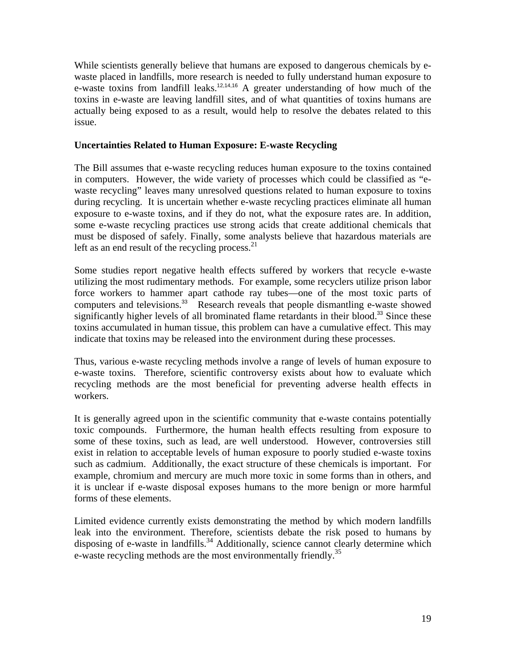While scientists generally believe that humans are exposed to dangerous chemicals by ewaste placed in landfills, more research is needed to fully understand human exposure to e-waste toxins from landfill leaks.<sup>12,14,16</sup> A greater understanding of how much of the toxins in e-waste are leaving landfill sites, and of what quantities of toxins humans are actually being exposed to as a result, would help to resolve the debates related to this issue.

### **Uncertainties Related to Human Exposure: E-waste Recycling**

The Bill assumes that e-waste recycling reduces human exposure to the toxins contained in computers. However, the wide variety of processes which could be classified as "ewaste recycling" leaves many unresolved questions related to human exposure to toxins during recycling. It is uncertain whether e-waste recycling practices eliminate all human exposure to e-waste toxins, and if they do not, what the exposure rates are. In addition, some e-waste recycling practices use strong acids that create additional chemicals that must be disposed of safely. Finally, some analysts believe that hazardous materials are left as an end result of the recycling process. $2<sup>1</sup>$ 

Some studies report negative health effects suffered by workers that recycle e-waste utilizing the most rudimentary methods. For example, some recyclers utilize prison labor force workers to hammer apart cathode ray tubes—one of the most toxic parts of computers and televisions.<sup>33</sup> Research reveals that people dismantling e-waste showed significantly higher levels of all brominated flame retardants in their blood.<sup>33</sup> Since these toxins accumulated in human tissue, this problem can have a cumulative effect. This may indicate that toxins may be released into the environment during these processes.

Thus, various e-waste recycling methods involve a range of levels of human exposure to e-waste toxins. Therefore, scientific controversy exists about how to evaluate which recycling methods are the most beneficial for preventing adverse health effects in workers.

It is generally agreed upon in the scientific community that e-waste contains potentially toxic compounds. Furthermore, the human health effects resulting from exposure to some of these toxins, such as lead, are well understood. However, controversies still exist in relation to acceptable levels of human exposure to poorly studied e-waste toxins such as cadmium. Additionally, the exact structure of these chemicals is important. For example, chromium and mercury are much more toxic in some forms than in others, and it is unclear if e-waste disposal exposes humans to the more benign or more harmful forms of these elements.

Limited evidence currently exists demonstrating the method by which modern landfills leak into the environment. Therefore, scientists debate the risk posed to humans by disposing of e-waste in landfills.<sup>34</sup> Additionally, science cannot clearly determine which e-waste recycling methods are the most environmentally friendly.<sup>35</sup>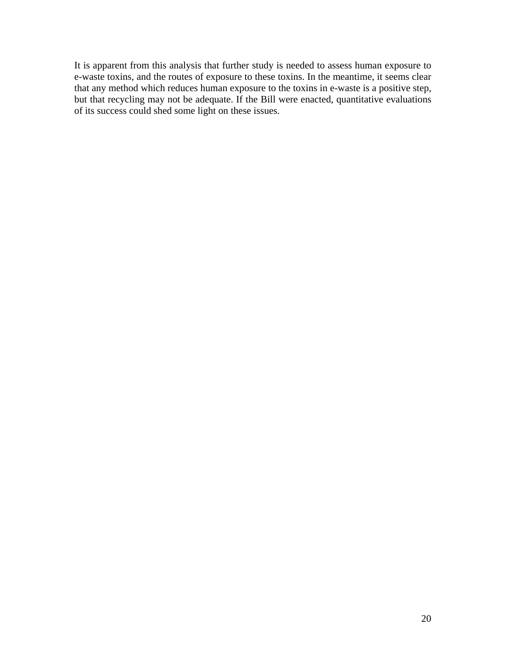It is apparent from this analysis that further study is needed to assess human exposure to e-waste toxins, and the routes of exposure to these toxins. In the meantime, it seems clear that any method which reduces human exposure to the toxins in e-waste is a positive step, but that recycling may not be adequate. If the Bill were enacted, quantitative evaluations of its success could shed some light on these issues.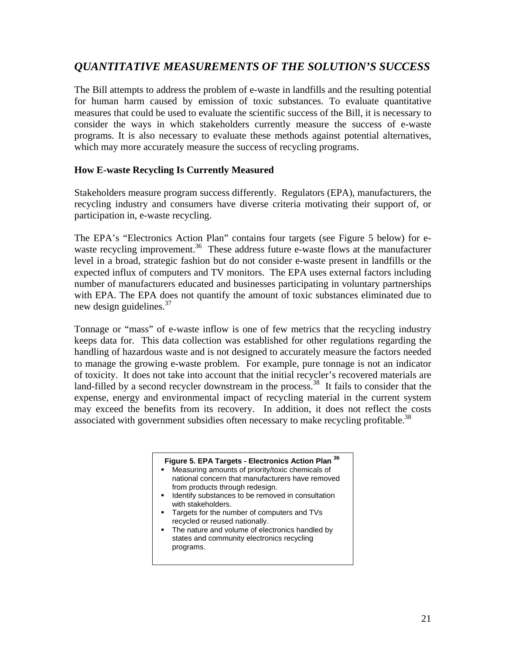# *QUANTITATIVE MEASUREMENTS OF THE SOLUTION'S SUCCESS*

The Bill attempts to address the problem of e-waste in landfills and the resulting potential for human harm caused by emission of toxic substances. To evaluate quantitative measures that could be used to evaluate the scientific success of the Bill, it is necessary to consider the ways in which stakeholders currently measure the success of e-waste programs. It is also necessary to evaluate these methods against potential alternatives, which may more accurately measure the success of recycling programs.

### **How E-waste Recycling Is Currently Measured**

Stakeholders measure program success differently. Regulators (EPA), manufacturers, the recycling industry and consumers have diverse criteria motivating their support of, or participation in, e-waste recycling.

The EPA's "Electronics Action Plan" contains four targets (see Figure 5 below) for ewaste recycling improvement.<sup>36</sup> These address future e-waste flows at the manufacturer level in a broad, strategic fashion but do not consider e-waste present in landfills or the expected influx of computers and TV monitors. The EPA uses external factors including number of manufacturers educated and businesses participating in voluntary partnerships with EPA. The EPA does not quantify the amount of toxic substances eliminated due to new design guidelines.<sup>37</sup>

Tonnage or "mass" of e-waste inflow is one of few metrics that the recycling industry keeps data for. This data collection was established for other regulations regarding the handling of hazardous waste and is not designed to accurately measure the factors needed to manage the growing e-waste problem. For example, pure tonnage is not an indicator of toxicity. It does not take into account that the initial recycler's recovered materials are land-filled by a second recycler downstream in the process.<sup>38</sup> It fails to consider that the expense, energy and environmental impact of recycling material in the current system may exceed the benefits from its recovery. In addition, it does not reflect the costs associated with government subsidies often necessary to make recycling profitable.<sup>38</sup>

# **Figure 5. EPA Targets - Electronics Action Plan <sup>36</sup>**

- Measuring amounts of priority/toxic chemicals of national concern that manufacturers have removed from products through redesign.
- I Identify substances to be removed in consultation with stakeholders.
- Targets for the number of computers and TVs recycled or reused nationally.
- The nature and volume of electronics handled by states and community electronics recycling programs.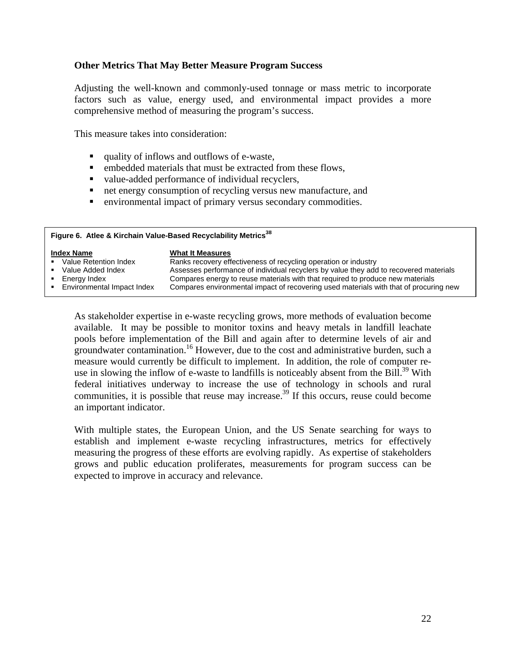### **Other Metrics That May Better Measure Program Success**

Adjusting the well-known and commonly-used tonnage or mass metric to incorporate factors such as value, energy used, and environmental impact provides a more comprehensive method of measuring the program's success.

This measure takes into consideration:

- quality of inflows and outflows of e-waste.
- **EXECUTE:** embedded materials that must be extracted from these flows,
- value-added performance of individual recyclers,
- net energy consumption of recycling versus new manufacture, and
- environmental impact of primary versus secondary commodities.

| Figure 6. Atlee & Kirchain Value-Based Recyclability Metrics <sup>38</sup> |                                                                                       |  |
|----------------------------------------------------------------------------|---------------------------------------------------------------------------------------|--|
| <b>Index Name</b>                                                          | <b>What It Measures</b>                                                               |  |
| • Value Retention Index                                                    | Ranks recovery effectiveness of recycling operation or industry                       |  |
| • Value Added Index                                                        | Assesses performance of individual recyclers by value they add to recovered materials |  |
| Energy Index                                                               | Compares energy to reuse materials with that required to produce new materials        |  |
| Environmental Impact Index                                                 | Compares environmental impact of recovering used materials with that of procuring new |  |

As stakeholder expertise in e-waste recycling grows, more methods of evaluation become available. It may be possible to monitor toxins and heavy metals in landfill leachate pools before implementation of the Bill and again after to determine levels of air and groundwater contamination.<sup>16</sup> However, due to the cost and administrative burden, such a measure would currently be difficult to implement. In addition, the role of computer reuse in slowing the inflow of e-waste to landfills is noticeably absent from the Bill.<sup>39</sup> With federal initiatives underway to increase the use of technology in schools and rural communities, it is possible that reuse may increase.<sup>39</sup> If this occurs, reuse could become an important indicator.

With multiple states, the European Union, and the US Senate searching for ways to establish and implement e-waste recycling infrastructures, metrics for effectively measuring the progress of these efforts are evolving rapidly. As expertise of stakeholders grows and public education proliferates, measurements for program success can be expected to improve in accuracy and relevance.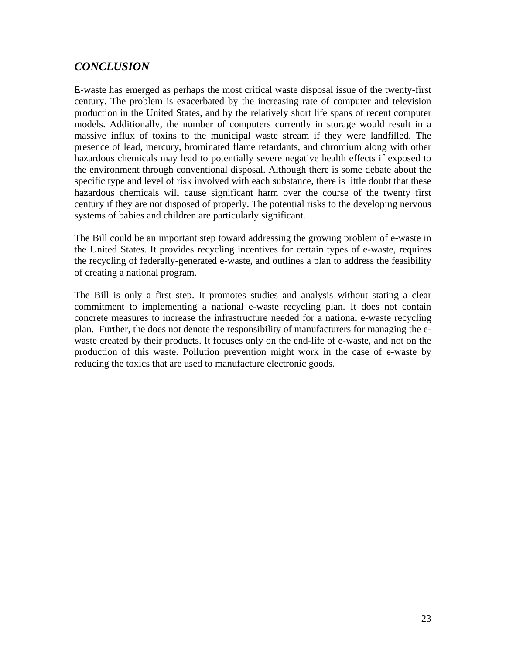# *CONCLUSION*

E-waste has emerged as perhaps the most critical waste disposal issue of the twenty-first century. The problem is exacerbated by the increasing rate of computer and television production in the United States, and by the relatively short life spans of recent computer models. Additionally, the number of computers currently in storage would result in a massive influx of toxins to the municipal waste stream if they were landfilled. The presence of lead, mercury, brominated flame retardants, and chromium along with other hazardous chemicals may lead to potentially severe negative health effects if exposed to the environment through conventional disposal. Although there is some debate about the specific type and level of risk involved with each substance, there is little doubt that these hazardous chemicals will cause significant harm over the course of the twenty first century if they are not disposed of properly. The potential risks to the developing nervous systems of babies and children are particularly significant.

The Bill could be an important step toward addressing the growing problem of e-waste in the United States. It provides recycling incentives for certain types of e-waste, requires the recycling of federally-generated e-waste, and outlines a plan to address the feasibility of creating a national program.

The Bill is only a first step. It promotes studies and analysis without stating a clear commitment to implementing a national e-waste recycling plan. It does not contain concrete measures to increase the infrastructure needed for a national e-waste recycling plan. Further, the does not denote the responsibility of manufacturers for managing the ewaste created by their products. It focuses only on the end-life of e-waste, and not on the production of this waste. Pollution prevention might work in the case of e-waste by reducing the toxics that are used to manufacture electronic goods.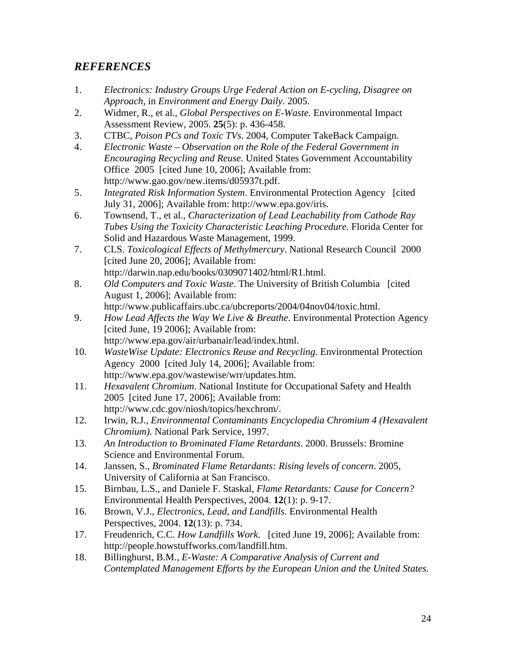# *REFERENCES*

- 1. *Electronics: Industry Groups Urge Federal Action on E-cycling, Disagree on Approach*, in *Environment and Energy Daily*. 2005.
- 2. Widmer, R., et al., *Global Perspectives on E-Waste.* Environmental Impact Assessment Review, 2005. **25**(5): p. 436-458.
- 3. CTBC, *Poison PCs and Toxic TVs*. 2004, Computer TakeBack Campaign.
- 4. *Electronic Waste Observation on the Role of the Federal Government in Encouraging Recycling and Reuse.* United States Government Accountability Office 2005 [cited June 10, 2006]; Available from: http://www.gao.gov/new.items/d05937t.pdf.
- 5. *Integrated Risk Information System*. Environmental Protection Agency [cited July 31, 2006]; Available from: http://www.epa.gov/iris.
- 6. Townsend, T., et al., *Characterization of Lead Leachability from Cathode Ray Tubes Using the Toxicity Characteristic Leaching Procedure.* Florida Center for Solid and Hazardous Waste Management, 1999.
- 7. CLS. *Toxicological Effects of Methylmercury*. National Research Council 2000 [cited June 20, 2006]; Available from: http://darwin.nap.edu/books/0309071402/html/R1.html.
- 8. *Old Computers and Toxic Waste*. The University of British Columbia [cited] August 1, 2006]; Available from: http://www.publicaffairs.ubc.ca/ubcreports/2004/04nov04/toxic.html.
- 9. *How Lead Affects the Way We Live & Breathe*. Environmental Protection Agency [cited June, 19 2006]; Available from: http://www.epa.gov/air/urbanair/lead/index.html.
- 10. *WasteWise Update: Electronics Reuse and Recycling*. Environmental Protection Agency 2000 [cited July 14, 2006]; Available from: http://www.epa.gov/wastewise/wrr/updates.htm.
- 11. *Hexavalent Chromium*. National Institute for Occupational Safety and Health 2005 [cited June 17, 2006]; Available from: http://www.cdc.gov/niosh/topics/hexchrom/.
- 12. Irwin, R.J., *Environmental Contaminants Encyclopedia Chromium 4 (Hexavalent Chromium).* National Park Service, 1997.
- 13. *An Introduction to Brominated Flame Retardants*. 2000. Brussels: Bromine Science and Environmental Forum.
- 14. Janssen, S., *Brominated Flame Retardants: Rising levels of concern*. 2005, University of California at San Francisco.
- 15. Birnbau, L.S., and Daniele F. Staskal, *Flame Retardants: Cause for Concern?* Environmental Health Perspectives, 2004. **12**(1): p. 9-17.
- 16. Brown, V.J., *Electronics, Lead, and Landfills.* Environmental Health Perspectives, 2004. **12**(13): p. 734.
- 17. Freudenrich, C.C. *How Landfills Work*. [cited June 19, 2006]; Available from: http://people.howstuffworks.com/landfill.htm.
- 18. Billinghurst, B.M., *E-Waste: A Comparative Analysis of Current and Contemplated Management Efforts by the European Union and the United States.*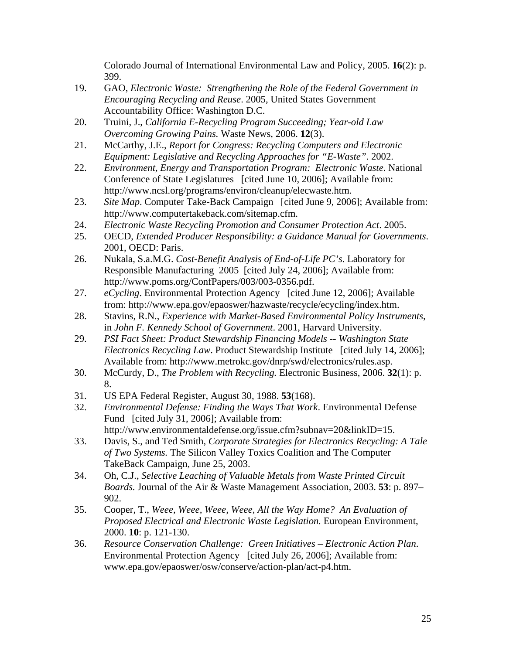Colorado Journal of International Environmental Law and Policy, 2005. **16**(2): p. 399.

- 19. GAO, *Electronic Waste: Strengthening the Role of the Federal Government in Encouraging Recycling and Reuse*. 2005, United States Government Accountability Office: Washington D.C.
- 20. Truini, J., *California E-Recycling Program Succeeding; Year-old Law Overcoming Growing Pains.* Waste News, 2006. **12**(3).
- 21. McCarthy, J.E., *Report for Congress: Recycling Computers and Electronic Equipment: Legislative and Recycling Approaches for "E-Waste"*. 2002.
- 22. *Environment, Energy and Transportation Program: Electronic Waste*. National Conference of State Legislatures [cited June 10, 2006]; Available from: http://www.ncsl.org/programs/environ/cleanup/elecwaste.htm.
- 23. *Site Map*. Computer Take-Back Campaign [cited June 9, 2006]; Available from: http://www.computertakeback.com/sitemap.cfm.
- 24. *Electronic Waste Recycling Promotion and Consumer Protection Act*. 2005.
- 25. OECD, *Extended Producer Responsibility: a Guidance Manual for Governments*. 2001, OECD: Paris.
- 26. Nukala, S.a.M.G. *Cost-Benefit Analysis of End-of-Life PC's*. Laboratory for Responsible Manufacturing 2005 [cited July 24, 2006]; Available from: http://www.poms.org/ConfPapers/003/003-0356.pdf.
- 27. *eCycling*. Environmental Protection Agency [cited June 12, 2006]; Available from: http://www.epa.gov/epaoswer/hazwaste/recycle/ecycling/index.htm.
- 28. Stavins, R.N., *Experience with Market-Based Environmental Policy Instruments*, in *John F. Kennedy School of Government*. 2001, Harvard University.
- 29. *PSI Fact Sheet: Product Stewardship Financing Models -- Washington State Electronics Recycling Law*. Product Stewardship Institute [cited July 14, 2006]; Available from: http://www.metrokc.gov/dnrp/swd/electronics/rules.asp.
- 30. McCurdy, D., *The Problem with Recycling.* Electronic Business, 2006. **32**(1): p. 8.
- 31. US EPA Federal Register, August 30, 1988. **53**(168).
- 32. *Environmental Defense: Finding the Ways That Work*. Environmental Defense Fund [cited July 31, 2006]; Available from: http://www.environmentaldefense.org/issue.cfm?subnav=20&linkID=15.
- 33. Davis, S., and Ted Smith, *Corporate Strategies for Electronics Recycling: A Tale of Two Systems.* The Silicon Valley Toxics Coalition and The Computer TakeBack Campaign, June 25, 2003.
- 34. Oh, C.J., *Selective Leaching of Valuable Metals from Waste Printed Circuit Boards.* Journal of the Air & Waste Management Association, 2003. **53**: p. 897– 902.
- 35. Cooper, T., *Weee, Weee, Weee, Weee, All the Way Home? An Evaluation of Proposed Electrical and Electronic Waste Legislation.* European Environment, 2000. **10**: p. 121-130.
- 36. *Resource Conservation Challenge: Green Initiatives Electronic Action Plan*. Environmental Protection Agency [cited July 26, 2006]; Available from: www.epa.gov/epaoswer/osw/conserve/action-plan/act-p4.htm.